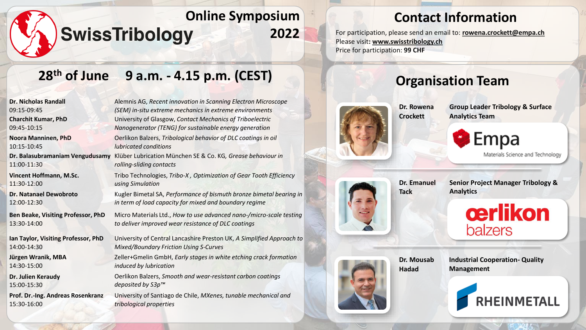# **28th of June 9 a.m. - 4.15 p.m. (CEST)**

**Dr. Nicholas Randall** 09:15-09:45 **Charchit Kumar, PhD** 09:45-10:15 **Noora Manninen, PhD** 10:15-10:45 **Dr. Balasubramaniam Vengudusamy**  11:00-11:30 **Vincent Hoffmann, M.Sc.**  11:30-12:00 **Dr. Natanael Dewobroto** 12:00-12:30 **Ben Beake, Visiting Professor, PhD** 13:30-14:00 **Ian Taylor, Visiting Professor, PhD** 14:00-14:30 **Jürgen Wranik, MBA** 14:30-15:00 **Dr. Julien Keraudy** 15:00-15:30

**Prof. Dr.-Ing. Andreas Rosenkranz** 15:30-16:00

Alemnis AG, *Recent innovation in Scanning Electron Microscope (SEM) in-situ extreme mechanics in extreme environments*  University of Glasgow, *Contact Mechanics of Triboelectric Nanogenerator (TENG) for sustainable energy generation* Oerlikon Balzers, *Tribological behavior of DLC coatings in oil lubricated conditions* Klüber Lubrication München SE & Co. KG*, Grease behaviour in rolling-sliding contacts*

Tribo Technologies, *Tribo-X , Optimization of Gear Tooth Efficiency using Simulation*

Kugler Bimetal SA, *Performance of bismuth bronze bimetal bearing in in term of load capacity for mixed and boundary regime*

Micro Materials Ltd., *How to use advanced nano-/micro-scale testing to deliver improved wear resistance of DLC coatings*

University of Central Lancashire Preston UK, *A Simplified Approach to Mixed/Boundary Friction Using S-Curves*

Zeller+Gmelin GmbH, *Early stages in white etching crack formation induced by lubrication*

Oerlikon Balzers, *Smooth and wear-resistant carbon coatings deposited by S3p™*

University of Santiago de Chile, *MXenes, tunable mechanical and tribological properties*

# **Contact Information**

**2022** For participation, please send an email to: **[rowena.crockett@empa.ch](mailto:rowena.crockett@empa.ch)** Please visit**: [www.swisstribology.ch](http://www.swisstribology.ch/)** Price for participation: **99 CHF**



### **Organisation Team**

**Group Leader Tribology & Surface Analytics Team**





**Dr. Emanuel Tack**

**Dr. Rowena Crockett**

> **Senior Project Manager Tribology & Analytics**





**Dr. Mousab Hadad**

**Industrial Cooperation- Quality Management**

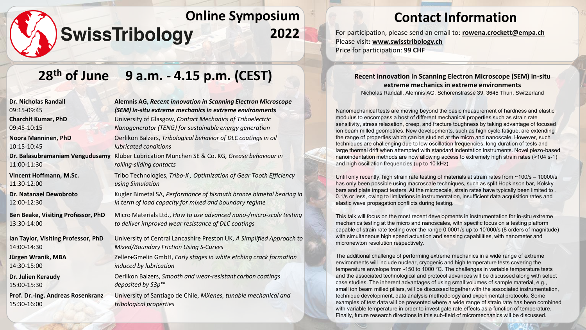# **28th of June 9 a.m. - 4.15 p.m. (CEST)**

| <b>Alemnis AG, Recent innovation in Scanning Electron Microscope</b>                                                          |
|-------------------------------------------------------------------------------------------------------------------------------|
| (SEM) in-situ extreme mechanics in extreme environments                                                                       |
| University of Glasgow, Contact Mechanics of Triboelectric<br>Nanogenerator (TENG) for sustainable energy generation           |
| Oerlikon Balzers, Tribological behavior of DLC coatings in oil<br><i>lubricated conditions</i>                                |
| Klüber Lubrication München SE & Co. KG, Grease behaviour in<br>rolling-sliding contacts                                       |
| Tribo Technologies, Tribo-X, Optimization of Gear Tooth Efficiency<br>using Simulation                                        |
| Kugler Bimetal SA, Performance of bismuth bronze bimetal bearing in<br>in term of load capacity for mixed and boundary regime |
| Micro Materials Ltd., How to use advanced nano-/micro-scale testing<br>to deliver improved wear resistance of DLC coatings    |
| University of Central Lancashire Preston UK, A Simplified Approach to<br><b>Mixed/Boundary Friction Using S-Curves</b>        |
| Zeller+Gmelin GmbH, Early stages in white etching crack formation<br>induced by lubrication                                   |
| Oerlikon Balzers, Smooth and wear-resistant carbon coatings<br>deposited by S3p™                                              |
| University of Santiago de Chile, MXenes, tunable mechanical and<br>tribological properties                                    |
|                                                                                                                               |

## **Contact Information**

**2022** For participation, please send an email to: **[rowena.crockett@empa.ch](mailto:rowena.crockett@empa.ch)** Please visit**: [www.swisstribology.ch](http://www.swisstribology.ch/)** Price for participation: **99 CHF**

> **Recent innovation in Scanning Electron Microscope (SEM) in-situ extreme mechanics in extreme environments** Nicholas Randall, Alemnis AG, Schorenstrasse 39, 3645 Thun, Switzerland

Nanomechanical tests are moving beyond the basic measurement of hardness and elastic modulus to encompass a host of different mechanical properties such as strain rate sensitivity, stress relaxation, creep, and fracture toughness by taking advantage of focused ion beam milled geometries. New developments, such as high cycle fatigue, are extending the range of properties which can be studied at the micro and nanoscale. However, such techniques are challenging due to low oscillation frequencies, long duration of tests and large thermal drift when attempted with standard indentation instruments. Novel piezo-based nanoindentation methods are now allowing access to extremely high strain rates (>104 s-1) and high oscillation frequencies (up to 10 kHz).

Until only recently, high strain rate testing of materials at strain rates from  $\sim$  100/s – 10000/s has only been possible using macroscale techniques, such as split Hopkinson bar, Kolsky bars and plate impact testers. At the microscale, strain rates have typically been limited to ~ 0.1/s or less, owing to limitations in instrumentation, insufficient data acquisition rates and elastic wave propagation conflicts during testing.

This talk will focus on the most recent developments in instrumentation for in-situ extreme mechanics testing at the micro and nanoscales, with specific focus on a testing platform capable of strain rate testing over the range 0.0001/s up to 10'000/s (8 orders of magnitude) with simultaneous high speed actuation and sensing capabilities, with nanometer and micronewton resolution respectively.

The additional challenge of performing extreme mechanics in a wide range of extreme environments will include nuclear, cryogenic and high temperature tests covering the temperature envelope from -150 to 1000 °C. The challenges in variable temperature tests and the associated technological and protocol advances will be discussed along with select case studies. The inherent advantages of using small volumes of sample material, e.g., small ion beam milled pillars, will be discussed together with the associated instrumentation, technique development, data analysis methodology and experimental protocols. Some examples of test data will be presented where a wide range of strain rate has been combined with variable temperature in order to investigate rate effects as a function of temperature. Finally, future research directions in this sub-field of micromechanics will be discussed.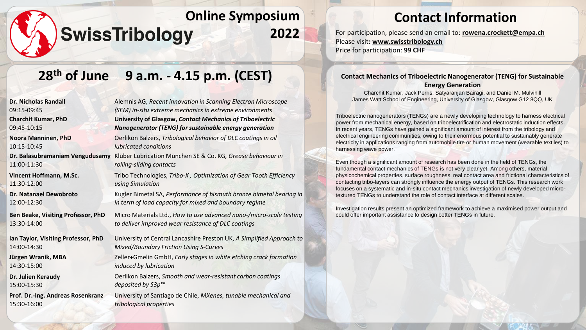# **28th of June 9 a.m. - 4.15 p.m. (CEST)**

| Alemnis AG, Recent innovation in Scanning Electron Microscope<br>(SEM) in-situ extreme mechanics in extreme environments      |
|-------------------------------------------------------------------------------------------------------------------------------|
| University of Glasgow, Contact Mechanics of Triboelectric<br>Nanogenerator (TENG) for sustainable energy generation           |
| Oerlikon Balzers, Tribological behavior of DLC coatings in oil<br>lubricated conditions                                       |
| Klüber Lubrication München SE & Co. KG, Grease behaviour in<br>rolling-sliding contacts                                       |
| Tribo Technologies, Tribo-X, Optimization of Gear Tooth Efficiency<br>using Simulation                                        |
| Kugler Bimetal SA, Performance of bismuth bronze bimetal bearing in<br>in term of load capacity for mixed and boundary regime |
| Micro Materials Ltd., How to use advanced nano-/micro-scale testing<br>to deliver improved wear resistance of DLC coatings    |
| University of Central Lancashire Preston UK, A Simplified Approach to<br><b>Mixed/Boundary Friction Using S-Curves</b>        |
| Zeller+Gmelin GmbH, Early stages in white etching crack formation<br>induced by lubrication                                   |
| Oerlikon Balzers, Smooth and wear-resistant carbon coatings<br>deposited by S3p™                                              |
| University of Santiago de Chile, MXenes, tunable mechanical and<br>tribological properties                                    |
|                                                                                                                               |

## **Contact Information**

**2022** For participation, please send an email to: **[rowena.crockett@empa.ch](mailto:rowena.crockett@empa.ch)** Please visit**: [www.swisstribology.ch](http://www.swisstribology.ch/)** Price for participation: **99 CHF**

#### **Contact Mechanics of Triboelectric Nanogenerator (TENG) for Sustainable Energy Generation**

Charchit Kumar, Jack Perris, Satyaranjan Bairagi, and Daniel M. Mulvihill James Watt School of Engineering, University of Glasgow, Glasgow G12 8QQ, UK

Triboelectric nanogenerators (TENGs) are a newly developing technology to harness electrical power from mechanical energy, based on triboelectrification and electrostatic induction effects. In recent years, TENGs have gained a significant amount of interest from the tribology and electrical engineering communities, owing to their enormous potential to sustainably generate electricity in applications ranging from automobile tire or human movement (wearable textiles) to harnessing wave power.

Even though a significant amount of research has been done in the field of TENGs, the fundamental contact mechanics of TENGs is not very clear yet. Among others, material physicochemical properties, surface roughness, real contact area and frictional characteristics of contacting tribo-layers can strongly influence the energy output of TENGs. This research work focuses on a systematic and in-situ contact mechanics investigation of newly developed microtextured TENGs to understand the role of contact interface at different scales.

Investigation results present an optimized framework to achieve a maximised power output and could offer important assistance to design better TENGs in future.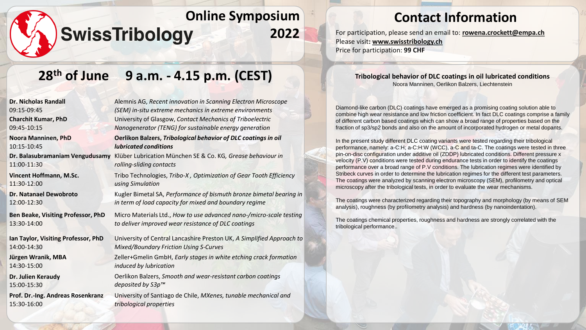## **28th of June 9 a.m. - 4.15 p.m. (CEST)**

| <b>Dr. Nicholas Randall</b>         | Alemnis AG, Recent innovation in Scanning Electron Microscope         |
|-------------------------------------|-----------------------------------------------------------------------|
| 09:15-09:45                         | (SEM) in-situ extreme mechanics in extreme environments               |
| <b>Charchit Kumar, PhD</b>          | University of Glasgow, Contact Mechanics of Triboelectric             |
| 09:45-10:15                         | Nanogenerator (TENG) for sustainable energy generation                |
| <b>Noora Manninen, PhD</b>          | Oerlikon Balzers, Tribological behavior of DLC coatings in oil        |
| 10:15-10:45                         | <b>lubricated conditions</b>                                          |
| Dr. Balasubramaniam Vengudusamy     | Klüber Lubrication München SE & Co. KG, Grease behaviour in           |
| 11:00-11:30                         | rolling-sliding contacts                                              |
| Vincent Hoffmann, M.Sc.             | Tribo Technologies, Tribo-X, Optimization of Gear Tooth Efficiency    |
| 11:30-12:00                         | using Simulation                                                      |
| Dr. Natanael Dewobroto              | Kugler Bimetal SA, Performance of bismuth bronze bimetal bearing in   |
| 12:00-12:30                         | in term of load capacity for mixed and boundary regime                |
| Ben Beake, Visiting Professor, PhD  | Micro Materials Ltd., How to use advanced nano-/micro-scale testing   |
| 13:30-14:00                         | to deliver improved wear resistance of DLC coatings                   |
| Ian Taylor, Visiting Professor, PhD | University of Central Lancashire Preston UK, A Simplified Approach to |
| 14:00-14:30                         | <b>Mixed/Boundary Friction Using S-Curves</b>                         |
| Jürgen Wranik, MBA                  | Zeller+Gmelin GmbH, Early stages in white etching crack formation     |
| 14:30-15:00                         | induced by lubrication                                                |
| Dr. Julien Keraudy                  | Oerlikon Balzers, Smooth and wear-resistant carbon coatings           |
| 15:00-15:30                         | deposited by S3p™                                                     |
| Prof. Dr.-Ing. Andreas Rosenkranz   | University of Santiago de Chile, MXenes, tunable mechanical and       |
| 15:30-16:00                         | tribological properties                                               |
|                                     |                                                                       |

## **Contact Information**

**2022** For participation, please send an email to: **[rowena.crockett@empa.ch](mailto:rowena.crockett@empa.ch)** Please visit**: [www.swisstribology.ch](http://www.swisstribology.ch/)** Price for participation: **99 CHF**

#### **Tribological behavior of DLC coatings in oil lubricated conditions** Noora Manninen, Oerlikon Balzers, Liechtenstein

Diamond-like carbon (DLC) coatings have emerged as a promising coating solution able to combine high wear resistance and low friction coefficient. In fact DLC coatings comprise a family of different carbon based coatings which can show a broad range of properties based on the fraction of sp3/sp2 bonds and also on the amount of incorporated hydrogen or metal dopants.

In the present study different DLC coating variants were tested regarding their tribological performance, namely: a-C:H; a-C:H:W (WCC), a-C and ta-C. The coatings were tested in three pin-on-disc configuration under additive oil (ZDDP) lubricated conditions. Different pressure x velocity (P.V) conditions were tested during endurance tests in order to identify the coatings performance over a broad range of P.V conditions. The lubrication regimes were identified by Stribeck curves in order to determine the lubrication regimes for the different test parameters. The coatings were analyzed by scanning electron microscopy (SEM), profilometry and optical microscopy after the tribological tests, in order to evaluate the wear mechanisms.

The coatings were characterized regarding their topography and morphology (by means of SEM analysis), roughness (by profilometry analysis) and hardness (by nanoindentation).

The coatings chemical properties, roughness and hardness are strongly correlated with the tribological performance..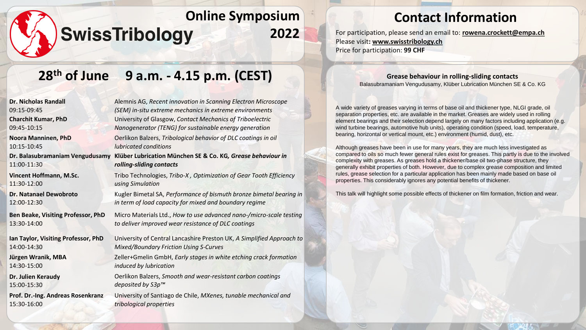### **Contact Information**

**2022** For participation, please send an email to: **[rowena.crockett@empa.ch](mailto:rowena.crockett@empa.ch)** Please visit**: [www.swisstribology.ch](http://www.swisstribology.ch/)** Price for participation: **99 CHF**

## **28th of June 9 a.m. - 4.15 p.m. (CEST)**

| <b>Dr. Nicholas Randall</b>         | Alemnis AG, Recent innovation in So  |
|-------------------------------------|--------------------------------------|
| 09:15-09:45                         | (SEM) in-situ extreme mechanics in   |
| <b>Charchit Kumar, PhD</b>          | University of Glasgow, Contact Med   |
| 09:45-10:15                         | Nanogenerator (TENG) for sustaina    |
| Noora Manninen, PhD                 | Oerlikon Balzers, Tribological behay |
| 10:15-10:45                         | <i>lubricated conditions</i>         |
| Dr. Balasubramaniam Vengudusamy     | Klüber Lubrication München SE &      |
| 11:00-11:30                         | rolling-sliding contacts             |
| Vincent Hoffmann, M.Sc.             | Tribo Technologies, Tribo-X, Optim   |
| 11:30-12:00                         | using Simulation                     |
| Dr. Natanael Dewobroto              | Kugler Bimetal SA, Performance of    |
| 12:00-12:30                         | in term of load capacity for mixed a |
| Ben Beake, Visiting Professor, PhD  | Micro Materials Ltd., How to use ad  |
| 13:30-14:00                         | to deliver improved wear resistance  |
| Ian Taylor, Visiting Professor, PhD | University of Central Lancashire Pre |
| 14:00-14:30                         | Mixed/Boundary Friction Using S-Cu   |
| Jürgen Wranik, MBA                  | Zeller+Gmelin GmbH, Early stages i   |
| 14:30-15:00                         | induced by lubrication               |
| Dr. Julien Keraudy                  | Oerlikon Balzers, Smooth and wear    |
| 15:00-15:30                         | deposited by S3p™                    |
| Prof. Dr.-Ing. Andreas Rosenkranz   | University of Santiago de Chile, MX  |
| 15:30-16:00                         | tribological properties              |

Alemnis AG, *Recent innovation in Scanning Electron Microscope (SEM) in-situ extreme mechanics in extreme environments*  University of Glasgow, *Contact Mechanics of Triboelectric Nanogenerator (TENG) for sustainable energy generation*  $$ **Co. KG, Grease behaviour in**  $N$ ization of Gear Tooth Efficiency bismuth bronze bimetal bearing in *in term of load capacity for mixed and boundary regime* dvanced nano-/micro-scale testing *to deliver improved wear resistance of DLC coatings* eston UK, A Simplified Approach to *Mixed/Boundary Friction Using S-Curves* Zeller+Gmelin GmbH, *Early stages in white etching crack formation* 

Oerlikon Balzers, *Smooth and wear-resistant carbon coatings* 

University of Santiago de Chile, *MXenes, tunable mechanical and tribological properties*

#### **Grease behaviour in rolling-sliding contacts** Balasubramaniam Vengudusamy, Klüber Lubrication München SE & Co. KG

A wide variety of greases varying in terms of base oil and thickener type, NLGI grade, oil separation properties, etc. are available in the market. Greases are widely used in rolling element bearings and their selection depend largely on many factors including application (e.g. wind turbine bearings, automotive hub units), operating condition (speed, load, temperature, bearing, horizontal or vertical mount, etc.) environment (humid, dust), etc.

Although greases have been in use for many years, they are much less investigated as compared to oils so much fewer general rules exist for greases. This partly is due to the involved complexity with greases. As greases hold a thickener/base oil two-phase structure, they generally exhibit properties of both. However, due to complex grease composition and limited rules, grease selection for a particular application has been mainly made based on base oil properties. This considerably ignores any potential benefits of thickener.

This talk will highlight some possible effects of thickener on film formation, friction and wear.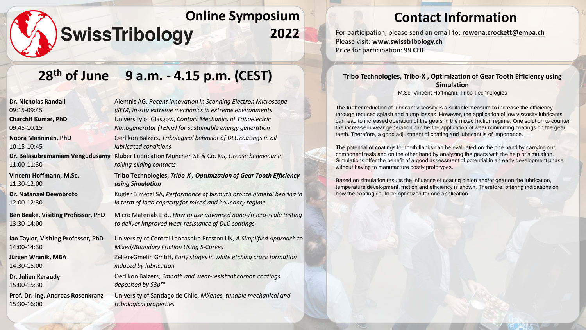# **28th of June 9 a.m. - 4.15 p.m. (CEST)**

| <b>Dr. Nicholas Randall</b>         | Alemnis AG, Recent innovation in Sc       |
|-------------------------------------|-------------------------------------------|
| 09:15-09:45                         | (SEM) in-situ extreme mechanics in e      |
| <b>Charchit Kumar, PhD</b>          | University of Glasgow, Contact Mecl       |
| 09:45-10:15                         | Nanogenerator (TENG) for sustainal        |
| Noora Manninen, PhD                 | Oerlikon Balzers, Tribological behavi     |
| 10:15-10:45                         | <i>lubricated conditions</i>              |
| Dr. Balasubramaniam Vengudusamy     | Klüber Lubrication München SE & Co        |
| 11:00-11:30                         | rolling-sliding contacts                  |
| Vincent Hoffmann, M.Sc.             | Tribo Technologies, Tribo-X, Optim        |
| 11:30-12:00                         | using Simulation                          |
| <b>Dr. Natanael Dewobroto</b>       | Kugler Bimetal SA, Performance of b       |
| 12:00-12:30                         | in term of load capacity for mixed ar     |
| Ben Beake, Visiting Professor, PhD  | Micro Materials Ltd., How to use adv      |
| 13:30-14:00                         | to deliver improved wear resistance       |
| Ian Taylor, Visiting Professor, PhD | University of Central Lancashire Pres     |
| 14:00-14:30                         | <b>Mixed/Boundary Friction Using S-Cu</b> |
| Jürgen Wranik, MBA                  | Zeller+Gmelin GmbH, Early stages in       |
| 14:30-15:00                         | induced by lubrication                    |
| Dr. Julien Keraudy                  | Oerlikon Balzers, Smooth and wear-        |
| 15:00-15:30                         | deposited by S3p™                         |
| Prof. Dr.-Ing. Andreas Rosenkranz   | University of Santiago de Chile, MXe      |
| 15:30-16:00                         | tribological properties                   |

anning Electron Microscope *(SEM) in-situ extreme mechanics in extreme environments*  University of Glasgow, *Contact Mechanics of Triboelectric Nanogenerator (TENG) for sustainable energy generation* ior of DLC coatings in oil Klüber Lubrication München SE & Co. KG*, Grease behaviour in*  **Tribo Technologies,** *Tribo-X , Optimization of Gear Tooth Efficiency*  Kugler Bimetal SA, *Performance of bismuth bronze bimetal bearing in in term of load capacity for mixed and boundary regime* Micro Materials Ltd., *How to use advanced nano-/micro-scale testing* 

*to deliver improved wear resistance of DLC coatings*

ston UK, *A Simplified Approach to Mixed/Boundary Friction Using S-Curves*

white etching crack formation

*<u>resistant carbon coatings</u>* 

University of Santiago de Chile, *MXenes, tunable mechanical and* 

### **Contact Information**

**2022** For participation, please send an email to: **[rowena.crockett@empa.ch](mailto:rowena.crockett@empa.ch)** Please visit**: [www.swisstribology.ch](http://www.swisstribology.ch/)** Price for participation: **99 CHF**

> **Tribo Technologies, Tribo-X , Optimization of Gear Tooth Efficiency using Simulation** M.Sc. Vincent Hoffmann, Tribo Technologies

The further reduction of lubricant viscosity is a suitable measure to increase the efficiency through reduced splash and pump losses. However, the application of low viscosity lubricants can lead to increased operation of the gears in the mixed friction regime. One solution to counter the increase in wear generation can be the application of wear minimizing coatings on the gear teeth. Therefore, a good adjustment of coating and lubricant is of importance.

The potential of coatings for tooth flanks can be evaluated on the one hand by carrying out component tests and on the other hand by analyzing the gears with the help of simulation. Simulations offer the benefit of a good assessment of potential in an early development phase without having to manufacture costly prototypes.

Based on simulation results the influence of coating pinion and/or gear on the lubrication, temperature development, friction and efficiency is shown. Therefore, offering indications on how the coating could be optimized for one application.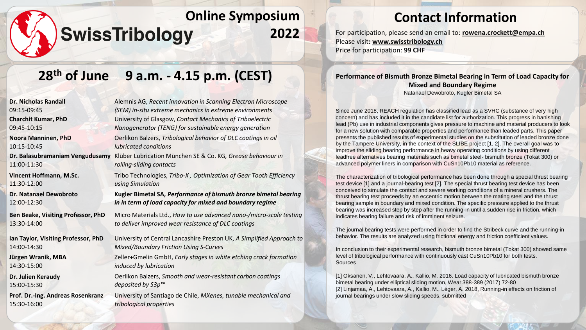# **28th of June 9 a.m. - 4.15 p.m. (CEST)**

| Alemnis AG, Recent innovation in Scanning Electron Microscope<br>(SEM) in-situ extreme mechanics in extreme environments      |
|-------------------------------------------------------------------------------------------------------------------------------|
| University of Glasgow, Contact Mechanics of Triboelectric<br>Nanogenerator (TENG) for sustainable energy generation           |
| Oerlikon Balzers, Tribological behavior of DLC coatings in oil<br>lubricated conditions                                       |
| Klüber Lubrication München SE & Co. KG, Grease behaviour in<br>rolling-sliding contacts                                       |
| Tribo Technologies, Tribo-X, Optimization of Gear Tooth Efficiency<br>using Simulation                                        |
| Kugler Bimetal SA, Performance of bismuth bronze bimetal bearing<br>in in term of load capacity for mixed and boundary regime |
| Micro Materials Ltd., How to use advanced nano-/micro-scale testing<br>to deliver improved wear resistance of DLC coatings    |
| University of Central Lancashire Preston UK, A Simplified Approach to<br><b>Mixed/Boundary Friction Using S-Curves</b>        |
| Zeller+Gmelin GmbH, Early stages in white etching crack formation<br>induced by lubrication                                   |
| Oerlikon Balzers, Smooth and wear-resistant carbon coatings<br>deposited by S3p™                                              |
| University of Santiago de Chile, MXenes, tunable mechanical and<br>tribological properties                                    |
|                                                                                                                               |

### **Contact Information**

**2022** For participation, please send an email to: **[rowena.crockett@empa.ch](mailto:rowena.crockett@empa.ch)** Please visit**: [www.swisstribology.ch](http://www.swisstribology.ch/)** Price for participation: **99 CHF**

#### **Performance of Bismuth Bronze Bimetal Bearing in Term of Load Capacity for Mixed and Boundary Regime** Natanael Dewobroto, Kugler Bimetal SA

Since June 2018, REACH regulation has classified lead as a SVHC (substance of very high concern) and has included it in the candidate list for authorization. This progress in banishing lead (Pb) use in industrial components gives pressure to machine and material producers to look for a new solution with comparable properties and performance than leaded parts. This paper presents the published results of experimental studies on the substitution of leaded bronze done by the Tampere University, in the context of the SLIBE project [1, 2]. The overall goal was to improve the sliding bearing performance in heavy operating conditions by using different leadfree alternatives bearing materials such as bimetal steel- bismuth bronze (Tokat 300) or advanced polymer liners in comparison with CuSn10Pb10 material as reference.

The characterization of tribological performance has been done through a special thrust bearing test device [1] and a journal-bearing test [2]. The special thrust bearing test device has been conceived to simulate the contact and severe working conditions of a mineral crushers. The thrust bearing test proceeds by an eccentric motion between the mating steel and the thrust bearing sample in boundary and mixed condition. The specific pressure applied to the thrust bearing was increased step by step after the running-in until a sudden rise in friction, which indicates bearing failure and risk of imminent seizure.

The journal bearing tests were performed in order to find the Stribeck curve and the running-in behavior. The results are analyzed using frictional energy and friction coefficient values.

In conclusion to their experimental research, bismuth bronze bimetal (Tokat 300) showed same level of tribological performance with continuously cast CuSn10Pb10 for both tests. Sources

[1] Oksanen, V., Lehtovaara, A., Kallio, M. 2016. Load capacity of lubricated bismuth bronze bimetal bearing under elliptical sliding motion, Wear 388-389 (2017) 72-80 [2] Linjamaa, A., Lehtovaara, A., Kallio, M., Léger, A. 2018, Running-in effects on friction of journal bearings under slow sliding speeds, submitted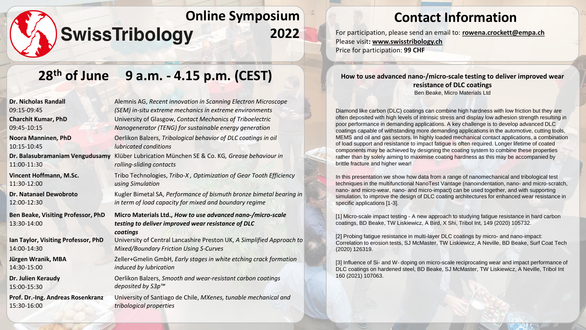# **28th of June 9 a.m. - 4.15 p.m. (CEST)**

| <b>Dr. Nicholas Randall</b>                       | Alemnis AG, Recent innovation in Scanning Electron Microscope                                                                 |
|---------------------------------------------------|-------------------------------------------------------------------------------------------------------------------------------|
| 09:15-09:45                                       | (SEM) in-situ extreme mechanics in extreme environments                                                                       |
| <b>Charchit Kumar, PhD</b>                        | University of Glasgow, Contact Mechanics of Triboelectric                                                                     |
| 09:45-10:15                                       | Nanogenerator (TENG) for sustainable energy generation                                                                        |
| Noora Manninen, PhD                               | Oerlikon Balzers, Tribological behavior of DLC coatings in oil                                                                |
| 10:15-10:45                                       | <i>lubricated conditions</i>                                                                                                  |
| Dr. Balasubramaniam Vengudusamy                   | Klüber Lubrication München SE & Co. KG, Grease behaviour in                                                                   |
| 11:00-11:30                                       | rolling-sliding contacts                                                                                                      |
| Vincent Hoffmann, M.Sc.                           | Tribo Technologies, Tribo-X, Optimization of Gear Tooth Efficiency                                                            |
| 11:30-12:00                                       | using Simulation                                                                                                              |
| Dr. Natanael Dewobroto                            | Kugler Bimetal SA, Performance of bismuth bronze bimetal bearing in                                                           |
| 12:00-12:30                                       | in term of load capacity for mixed and boundary regime                                                                        |
| Ben Beake, Visiting Professor, PhD<br>13:30-14:00 | Micro Materials Ltd., How to use advanced nano-/micro-scale<br>testing to deliver improved wear resistance of DLC<br>coatings |
| Ian Taylor, Visiting Professor, PhD               | University of Central Lancashire Preston UK, A Simplified Approach to                                                         |
| 14:00-14:30                                       | <b>Mixed/Boundary Friction Using S-Curves</b>                                                                                 |
| Jürgen Wranik, MBA                                | Zeller+Gmelin GmbH, Early stages in white etching crack formation                                                             |
| 14:30-15:00                                       | induced by lubrication                                                                                                        |
| Dr. Julien Keraudy                                | Oerlikon Balzers, Smooth and wear-resistant carbon coatings                                                                   |
| 15:00-15:30                                       | deposited by S3p™                                                                                                             |
| Prof. Dr.-Ing. Andreas Rosenkranz                 | University of Santiago de Chile, MXenes, tunable mechanical and                                                               |
| 15:30-16:00                                       | tribological properties                                                                                                       |

## **Contact Information**

**2022** For participation, please send an email to: **[rowena.crockett@empa.ch](mailto:rowena.crockett@empa.ch)** Please visit**: [www.swisstribology.ch](http://www.swisstribology.ch/)** Price for participation: **99 CHF**

#### **How to use advanced nano-/micro-scale testing to deliver improved wear resistance of DLC coatings** Ben Beake, Micro Materials Ltd

Diamond like carbon (DLC) coatings can combine high hardness with low friction but they are often deposited with high levels of intrinsic stress and display low adhesion strength resulting in poor performance in demanding applications. A key challenge is to develop advanced DLC coatings capable of withstanding more demanding applications in the automotive, cutting tools, MEMS and oil and gas sectors. In highly loaded mechanical contact applications, a combination of load support and resistance to impact fatigue is often required. Longer lifetime of coated components may be achieved by designing the coating system to combine these properties rather than by solely aiming to maximise coating hardness as this may be accompanied by brittle fracture and higher wear!

In this presentation we show how data from a range of nanomechanical and tribological test techniques in the multifunctional NanoTest Vantage (nanoindentation, nano- and micro-scratch, nano- and micro-wear, nano- and micro-impact) can be used together, and with supporting simulation, to improve the design of DLC coating architectures for enhanced wear resistance in specific applications [1-3].

[1] Micro-scale impact testing - A new approach to studying fatigue resistance in hard carbon coatings, BD Beake, TW Liskiewicz, A Bird, X Shi, Tribol Int, 149 (2020) 105732.

[2] Probing fatigue resistance in multi-layer DLC coatings by micro- and nano-impact: Correlation to erosion tests, SJ McMaster, TW Liskiewicz, A Neville, BD Beake, Surf Coat Tech (2020) 126319.

[3] Influence of Si- and W- doping on micro-scale reciprocating wear and impact performance of DLC coatings on hardened steel, BD Beake, SJ McMaster, TW Liskiewicz, A Neville, Tribol Int 160 (2021) 107063.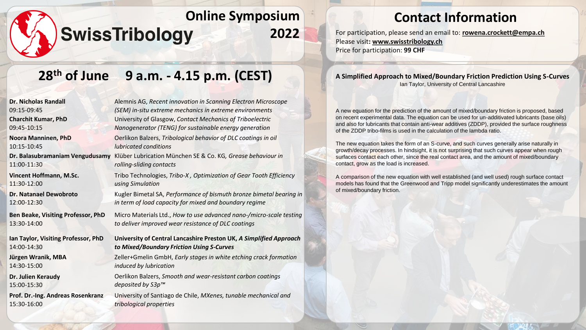# **28th of June 9 a.m. - 4.15 p.m. (CEST)**

| <b>Dr. Nicholas Randall</b>               | Alemnis AG, Recent innovation in        |
|-------------------------------------------|-----------------------------------------|
| 09:15-09:45                               | (SEM) in-situ extreme mechanics         |
| <b>Charchit Kumar, PhD</b>                | University of Glasgow, Contact N        |
| 09:45-10:15                               | Nanogenerator (TENG) for susta.         |
| <b>Noora Manninen, PhD</b>                | Oerlikon Balzers, Tribological bei      |
| 10:15-10:45                               | lubricated conditions                   |
| Dr. Balasubramaniam Vengudusamy           | Klüber Lubrication München SE &         |
| 11:00-11:30                               | rolling-sliding contacts                |
| <b>Vincent Hoffmann, M.Sc.</b>            | Tribo Technologies, Tribo-X, Opt        |
| 11:30-12:00                               | using Simulation                        |
| <b>Dr. Natanael Dewobroto</b>             | Kugler Bimetal SA, Performance          |
| 12:00-12:30                               | in term of load capacity for mixe       |
| <b>Ben Beake, Visiting Professor, PhD</b> | Micro Materials Ltd., How to use        |
| 13:30-14:00                               | to deliver improved wear resistal       |
| Ian Taylor, Visiting Professor, PhD       | <b>University of Central Lancashire</b> |
| 14:00-14:30                               | to Mixed/Boundary Friction Usii         |
| Jürgen Wranik, MBA                        | Zeller+Gmelin GmbH, Early stage         |
| 14:30-15:00                               | induced by lubrication                  |
| Dr. Julien Keraudy                        | Oerlikon Balzers, Smooth and we         |
| 15:00-15:30                               | deposited by S3p™                       |
| Prof. Dr.-Ing. Andreas Rosenkranz         | University of Santiago de Chile, N      |
| 15:30-16:00                               | tribological properties                 |
|                                           |                                         |

Alemnis AG, *Recent innovation in Scanning Electron Microscope*   $sin$  extreme environments **Mechanics of Triboelectric** *Nanogenerator (TENG) for sustainable energy generation* Oerlikon Balzers, *Tribological behavior of DLC coatings in oil*   $\&$  Co. KG, Grease behaviour in timization of Gear Tooth Efficiency of bismuth bronze bimetal bearing in *in term of load capacity for mixed and boundary regime*  $\alpha$  advanced nano-/micro-scale testing *to deliver improved wear resistance of DLC coatings* **Preston UK, A Simplified Approach** *to Mixed/Boundary Friction Using S-Curves*  $es$  in white etching crack formation

Oerlikon Balzers, *Smooth and wear-resistant carbon coatings* 

University of Santiago de Chile, *MXenes, tunable mechanical and* 

## **Contact Information**

**2022** For participation, please send an email to: **[rowena.crockett@empa.ch](mailto:rowena.crockett@empa.ch)** Please visit**: [www.swisstribology.ch](http://www.swisstribology.ch/)** Price for participation: **99 CHF**

#### **A Simplified Approach to Mixed/Boundary Friction Prediction Using S-Curves** Ian Taylor, University of Central Lancashire

A new equation for the prediction of the amount of mixed/boundary friction is proposed, based on recent experimental data. The equation can be used for un-additivated lubricants (base oils) and also for lubricants that contain anti-wear additives (ZDDP), provided the surface roughness of the ZDDP tribo-films is used in the calculation of the lambda ratio.

The new equation takes the form of an S-curve, and such curves generally arise naturally in growth/decay processes. In hindsight, it is not surprising that such curves appear when rough surfaces contact each other, since the real contact area, and the amount of mixed/boundary contact, grow as the load is increased.

A comparison of the new equation with well established (and well used) rough surface contact models has found that the Greenwood and Tripp model significantly underestimates the amount of mixed/boundary friction.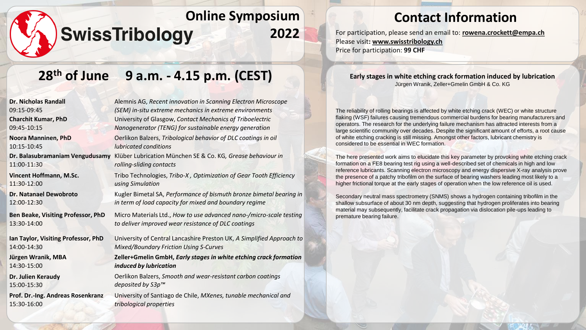#### **Contact Information**

**2022** For participation, please send an email to: **[rowena.crockett@empa.ch](mailto:rowena.crockett@empa.ch)** Please visit**: [www.swisstribology.ch](http://www.swisstribology.ch/)** Price for participation: **99 CHF**

# **28th of June 9 a.m. - 4.15 p.m. (CEST)**

| <b>Dr. Nicholas Randall</b>               | Alemnis AG, Recent innovat        |
|-------------------------------------------|-----------------------------------|
| 09:15-09:45                               | (SEM) in-situ extreme mech        |
| <b>Charchit Kumar, PhD</b>                | University of Glasgow, Cont       |
| 09:45-10:15                               | Nanogenerator (TENG) for s        |
| <b>Noora Manninen, PhD</b>                | Oerlikon Balzers, Tribologica     |
| 10:15-10:45                               | lubricated conditions             |
| Dr. Balasubramaniam Vengudusamy           | Klüber Lubrication Müncher        |
| 11:00-11:30                               | rolling-sliding contacts          |
| <b>Vincent Hoffmann, M.Sc.</b>            | Tribo Technologies, Tribo-X       |
| 11:30-12:00                               | using Simulation                  |
| <b>Dr. Natanael Dewobroto</b>             | Kugler Bimetal SA, Performo       |
| 12:00-12:30                               | in term of load capacity for      |
| <b>Ben Beake, Visiting Professor, PhD</b> | Micro Materials Ltd., How to      |
| 13:30-14:00                               | to deliver improved wear re.      |
| Ian Taylor, Visiting Professor, PhD       | University of Central Lancas      |
| 14:00-14:30                               | <b>Mixed/Boundary Friction Us</b> |
| Jürgen Wranik, MBA                        | Zeller+Gmelin GmbH, Early         |
| 14:30-15:00                               | induced by lubrication            |
| Dr. Julien Keraudy                        | Oerlikon Balzers, Smooth ar       |
| 15:00-15:30                               | deposited by S3p™                 |
| Prof. Dr.-Ing. Andreas Rosenkranz         | University of Santiago de Ch      |
| 15:30-16:00                               | tribological properties           |

Alemnis AG, *Recent innovation in Scanning Electron Microscope A in-extreme environments* **Eact Mechanics of Triboelectric** *Nanogenerator (TENG) for sustainable energy generation* al behavior of DLC coatings in oil  $n$  SE & Co. KG, Grease behaviour *in* **Optimization of Gear Tooth Efficiency** ance of bismuth bronze bimetal bearing in *mixed and boundary regime* Micro Materials Ltd., *How to use advanced nano-/micro-scale testing to deliver improved wear resistance of DLC coatings* shire Preston UK, *A Simplified Approach to*  $sing$ *S-Curves* 

*<u>Istages in white etching crack formation</u>* 

Oerlikon Balzers, *Smooth and wear-resistant carbon coatings* 

hile, *MXenes, tunable mechanical and tribological properties*

#### **Early stages in white etching crack formation induced by lubrication** Jürgen Wranik, Zeller+Gmelin GmbH & Co. KG

The reliability of rolling bearings is affected by white etching crack (WEC) or white structure flaking (WSF) failures causing tremendous commercial burdens for bearing manufacturers and operators. The research for the underlying failure mechanism has attracted interests from a large scientific community over decades. Despite the significant amount of efforts, a root cause of white etching cracking is still missing. Amongst other factors, lubricant chemistry is considered to be essential in WEC formation.

The here presented work aims to elucidate this key parameter by provoking white etching crack formation on a FE8 bearing test rig using a well-described set of chemicals in high and low reference lubricants. Scanning electron microscopy and energy dispersive X-ray analysis prove the presence of a patchy tribofilm on the surface of bearing washers leading most likely to a higher frictional torque at the early stages of operation when the low reference oil is used.

Secondary neutral mass spectrometry (SNMS) shows a hydrogen containing tribofilm in the shallow subsurface of about 30 nm depth, suggesting that hydrogen proliferates into bearing material may subsequently, facilitate crack propagation via dislocation pile-ups leading to premature bearing failure.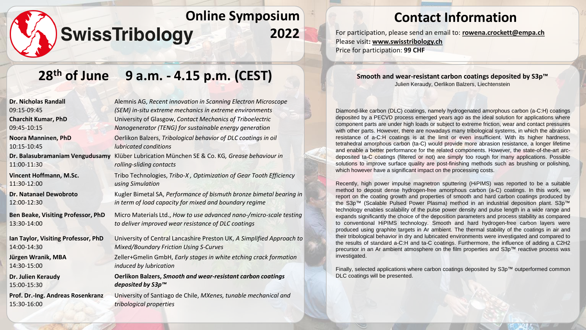### **Contact Information**

**2022** For participation, please send an email to: **[rowena.crockett@empa.ch](mailto:rowena.crockett@empa.ch)** Please visit**: [www.swisstribology.ch](http://www.swisstribology.ch/)** Price for participation: **99 CHF**

# **28th of June 9 a.m. - 4.15 p.m. (CEST)**

| <b>Dr. Nicholas Randall</b>         | Alemnis AG, Recent innovation in Scanning Electron Microscope         |
|-------------------------------------|-----------------------------------------------------------------------|
| 09:15-09:45                         | (SEM) in-situ extreme mechanics in extreme environments               |
| <b>Charchit Kumar, PhD</b>          | University of Glasgow, Contact Mechanics of Triboelectric             |
| 09:45-10:15                         | Nanogenerator (TENG) for sustainable energy generation                |
| Noora Manninen, PhD                 | Oerlikon Balzers, Tribological behavior of DLC coatings in oil        |
| 10:15-10:45                         | <i>lubricated conditions</i>                                          |
| Dr. Balasubramaniam Vengudusamy     | Klüber Lubrication München SE & Co. KG, Grease behaviour in           |
| 11:00-11:30                         | rolling-sliding contacts                                              |
| Vincent Hoffmann, M.Sc.             | Tribo Technologies, Tribo-X, Optimization of Gear Tooth Efficiency    |
| 11:30-12:00                         | using Simulation                                                      |
| <b>Dr. Natanael Dewobroto</b>       | Kugler Bimetal SA, Performance of bismuth bronze bimetal bearing in   |
| 12:00-12:30                         | in term of load capacity for mixed and boundary regime                |
| Ben Beake, Visiting Professor, PhD  | Micro Materials Ltd., How to use advanced nano-/micro-scale testing   |
| 13:30-14:00                         | to deliver improved wear resistance of DLC coatings                   |
| Ian Taylor, Visiting Professor, PhD | University of Central Lancashire Preston UK, A Simplified Approach to |
| 14:00-14:30                         | <b>Mixed/Boundary Friction Using S-Curves</b>                         |
| Jürgen Wranik, MBA                  | Zeller+Gmelin GmbH, Early stages in white etching crack formation     |
| 14:30-15:00                         | induced by lubrication                                                |
| Dr. Julien Keraudy                  | <b>Oerlikon Balzers, Smooth and wear-resistant carbon coatings</b>    |
| 15:00-15:30                         | deposited by S3p™                                                     |
| Prof. Dr.-Ing. Andreas Rosenkranz   | University of Santiago de Chile, MXenes, tunable mechanical and       |
| 15:30-16:00                         | tribological properties                                               |
|                                     |                                                                       |

**Smooth and wear-resistant carbon coatings deposited by S3p™** Julien Keraudy, Oerlikon Balzers, Liechtenstein

Diamond-like carbon (DLC) coatings, namely hydrogenated amorphous carbon (a-C:H) coatings deposited by a PECVD process emerged years ago as the ideal solution for applications where component parts are under high loads or subject to extreme friction, wear and contact pressures with other parts. However, there are nowadays many tribological systems, in which the abrasion resistance of a-C:H coatings is at the limit or even insufficient. With its higher hardness, tetrahedral amorphous carbon (ta-C) would provide more abrasion resistance, a longer lifetime and enable a better performance for the related components. However, the state-of-the-art arcdeposited ta-C coatings (filtered or not) are simply too rough for many applications. Possible solutions to improve surface quality are post-finishing methods such as brushing or polishing, which however have a significant impact on the processing costs.

Recently, high power impulse magnetron sputtering (HiPIMS) was reported to be a suitable method to deposit dense hydrogen-free amorphous carbon (a-C) coatings. In this work, we report on the coating growth and properties of smooth and hard carbon coatings produced by the S3p™ (Scalable Pulsed Power Plasma) method in an industrial deposition plant. S3p™ technology enables scalability of the pulse power density and pulse length in a wide range and expands significantly the choice of the deposition parameters and process stability as compared to conventional HiPIMS technology. Smooth and hard hydrogen-free carbon layers were produced using graphite targets in Ar ambient. The thermal stability of the coatings in air and their tribological behavior in dry and lubricated environments were investigated and compared to the results of standard a-C:H and ta-C coatings. Furthermore, the influence of adding a C2H2 precursor in an Ar ambient atmosphere on the film properties and S3p™ reactive process was investigated.

Finally, selected applications where carbon coatings deposited by S3p™ outperformed common DLC coatings will be presented.